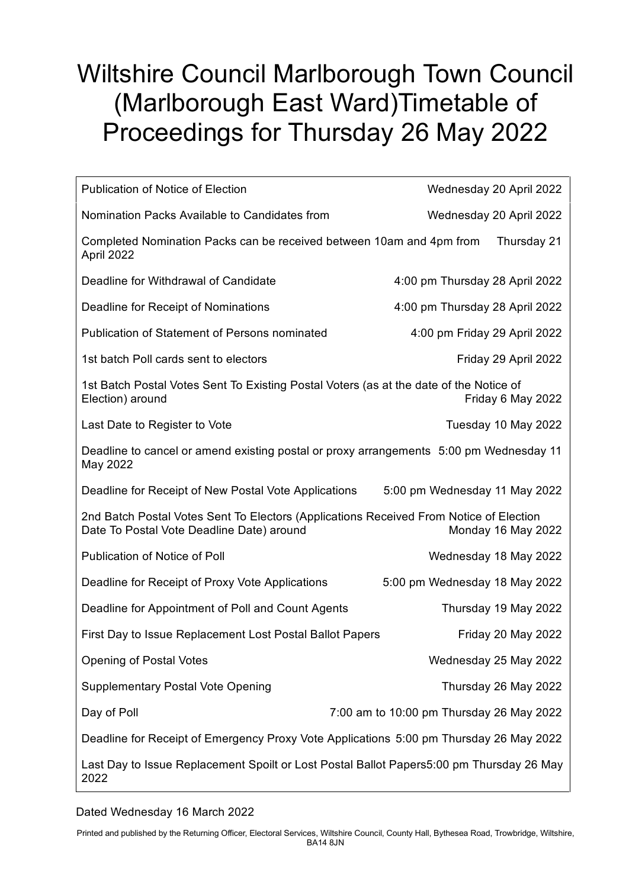## Wiltshire Council Marlborough Town Council (Marlborough East Ward)Timetable of Proceedings for Thursday 26 May 2022

| <b>Publication of Notice of Election</b>                                                                                            | Wednesday 20 April 2022                  |
|-------------------------------------------------------------------------------------------------------------------------------------|------------------------------------------|
| Nomination Packs Available to Candidates from                                                                                       | Wednesday 20 April 2022                  |
| Completed Nomination Packs can be received between 10am and 4pm from<br>Thursday 21<br>April 2022                                   |                                          |
| Deadline for Withdrawal of Candidate                                                                                                | 4:00 pm Thursday 28 April 2022           |
| Deadline for Receipt of Nominations                                                                                                 | 4:00 pm Thursday 28 April 2022           |
| <b>Publication of Statement of Persons nominated</b>                                                                                | 4:00 pm Friday 29 April 2022             |
| 1st batch Poll cards sent to electors                                                                                               | Friday 29 April 2022                     |
| 1st Batch Postal Votes Sent To Existing Postal Voters (as at the date of the Notice of<br>Election) around<br>Friday 6 May 2022     |                                          |
| Last Date to Register to Vote                                                                                                       | Tuesday 10 May 2022                      |
| Deadline to cancel or amend existing postal or proxy arrangements 5:00 pm Wednesday 11<br>May 2022                                  |                                          |
| Deadline for Receipt of New Postal Vote Applications                                                                                | 5:00 pm Wednesday 11 May 2022            |
| 2nd Batch Postal Votes Sent To Electors (Applications Received From Notice of Election<br>Date To Postal Vote Deadline Date) around | Monday 16 May 2022                       |
| Publication of Notice of Poll                                                                                                       | Wednesday 18 May 2022                    |
| Deadline for Receipt of Proxy Vote Applications                                                                                     | 5:00 pm Wednesday 18 May 2022            |
| Deadline for Appointment of Poll and Count Agents                                                                                   | Thursday 19 May 2022                     |
| First Day to Issue Replacement Lost Postal Ballot Papers                                                                            | Friday 20 May 2022                       |
| <b>Opening of Postal Votes</b>                                                                                                      | Wednesday 25 May 2022                    |
| <b>Supplementary Postal Vote Opening</b>                                                                                            | Thursday 26 May 2022                     |
| Day of Poll                                                                                                                         | 7:00 am to 10:00 pm Thursday 26 May 2022 |
| Deadline for Receipt of Emergency Proxy Vote Applications 5:00 pm Thursday 26 May 2022                                              |                                          |
| Last Day to Issue Replacement Spoilt or Lost Postal Ballot Papers5:00 pm Thursday 26 May<br>2022                                    |                                          |

## Dated Wednesday 16 March 2022